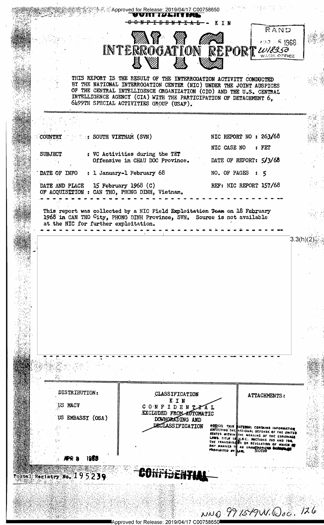|  |                                                                                                                                                                                              |                                                                   | w witt <i>tij i</i> lite ene.                                                                                                                                                                                                                                                                                                   |                                                |                                                                                                                                     |  |
|--|----------------------------------------------------------------------------------------------------------------------------------------------------------------------------------------------|-------------------------------------------------------------------|---------------------------------------------------------------------------------------------------------------------------------------------------------------------------------------------------------------------------------------------------------------------------------------------------------------------------------|------------------------------------------------|-------------------------------------------------------------------------------------------------------------------------------------|--|
|  |                                                                                                                                                                                              |                                                                   | <del>IDENTIAL</del> - KIN<br>WAY YA<br>INTERROGATION REPORT WAS                                                                                                                                                                                                                                                                 |                                                | RAND<br>$100 \times R$ 1968.                                                                                                        |  |
|  |                                                                                                                                                                                              |                                                                   |                                                                                                                                                                                                                                                                                                                                 |                                                | WASH, OFFICE                                                                                                                        |  |
|  |                                                                                                                                                                                              |                                                                   | THIS REPORT IS THE RESULT OF THE INTERROGATION ACTIVITY CONDUCTED<br>BY THE NATIONAL INTERROGATION CENTER (NIC) UNDER THE JOINT AUSPICES<br>OF THE CENTRAL INTELLIGENCE ORGANIZATION (CIO) AND THE U.S. CENTRAL<br>INTELLIGENCE AGENCY (CIA) WITH THE PARTICIPATION OF DETACHMENT 6,<br>6499TH SPECIAL ACTIVITIES GROUP (USAF). |                                                |                                                                                                                                     |  |
|  |                                                                                                                                                                                              |                                                                   |                                                                                                                                                                                                                                                                                                                                 |                                                |                                                                                                                                     |  |
|  | COUNTRY The Second South VIETNAM (SVN)                                                                                                                                                       |                                                                   |                                                                                                                                                                                                                                                                                                                                 |                                                | NIC REPORT NO : 263/68                                                                                                              |  |
|  | SUBJECT                                                                                                                                                                                      |                                                                   |                                                                                                                                                                                                                                                                                                                                 | NIC CASE NO : FET                              |                                                                                                                                     |  |
|  |                                                                                                                                                                                              | : VC Activities during the TET<br>Offensive in CHAU DOC Province. |                                                                                                                                                                                                                                                                                                                                 | DATE OF REPORT: 5/3/68                         |                                                                                                                                     |  |
|  | DATE OF INFO : 1 January-1 February 68                                                                                                                                                       |                                                                   | NO. OF PAGES : 5                                                                                                                                                                                                                                                                                                                |                                                |                                                                                                                                     |  |
|  | DATE AND PLACE 15 February 1968 (C)<br>OF ACQUISITION : CAN THO, PHONG DINH, Vietnam.                                                                                                        |                                                                   | REF: NIC REPORT 157/68                                                                                                                                                                                                                                                                                                          |                                                |                                                                                                                                     |  |
|  | This report was collected by a NIC Field Exploitation Team on 18 February<br>1968 in CAN THO City, PHONG DINH Province, SVN, Source is not available<br>at the NIC for further exploitation. |                                                                   |                                                                                                                                                                                                                                                                                                                                 |                                                |                                                                                                                                     |  |
|  |                                                                                                                                                                                              |                                                                   |                                                                                                                                                                                                                                                                                                                                 |                                                |                                                                                                                                     |  |
|  |                                                                                                                                                                                              |                                                                   |                                                                                                                                                                                                                                                                                                                                 |                                                | 3.3(h)                                                                                                                              |  |
|  |                                                                                                                                                                                              |                                                                   |                                                                                                                                                                                                                                                                                                                                 |                                                |                                                                                                                                     |  |
|  |                                                                                                                                                                                              |                                                                   |                                                                                                                                                                                                                                                                                                                                 |                                                |                                                                                                                                     |  |
|  |                                                                                                                                                                                              |                                                                   |                                                                                                                                                                                                                                                                                                                                 |                                                |                                                                                                                                     |  |
|  |                                                                                                                                                                                              |                                                                   |                                                                                                                                                                                                                                                                                                                                 |                                                |                                                                                                                                     |  |
|  |                                                                                                                                                                                              |                                                                   |                                                                                                                                                                                                                                                                                                                                 |                                                |                                                                                                                                     |  |
|  |                                                                                                                                                                                              |                                                                   |                                                                                                                                                                                                                                                                                                                                 |                                                |                                                                                                                                     |  |
|  |                                                                                                                                                                                              |                                                                   |                                                                                                                                                                                                                                                                                                                                 |                                                |                                                                                                                                     |  |
|  |                                                                                                                                                                                              |                                                                   |                                                                                                                                                                                                                                                                                                                                 |                                                |                                                                                                                                     |  |
|  |                                                                                                                                                                                              |                                                                   |                                                                                                                                                                                                                                                                                                                                 |                                                |                                                                                                                                     |  |
|  |                                                                                                                                                                                              |                                                                   |                                                                                                                                                                                                                                                                                                                                 |                                                |                                                                                                                                     |  |
|  | DISTRIBUTION:                                                                                                                                                                                |                                                                   | CLASSIFICATION                                                                                                                                                                                                                                                                                                                  |                                                |                                                                                                                                     |  |
|  | US MACV                                                                                                                                                                                      |                                                                   | KIN<br>CONFIDENTAL                                                                                                                                                                                                                                                                                                              |                                                | ATTACHMENTS:                                                                                                                        |  |
|  | EMBASSY (OSA)                                                                                                                                                                                |                                                                   | EXCLUDED FROM AUTOMATIC                                                                                                                                                                                                                                                                                                         |                                                |                                                                                                                                     |  |
|  |                                                                                                                                                                                              |                                                                   | DOWNORAD ING AND<br>DECLASSIFICATION                                                                                                                                                                                                                                                                                            |                                                | MOTICEL THIS MATERIAL CONTAINS INFORMATION<br>APPECTING THE WATIONAL DEFENSE OF THE UNITED                                          |  |
|  |                                                                                                                                                                                              |                                                                   |                                                                                                                                                                                                                                                                                                                                 |                                                | STATES WITHIN THE MEANING OF THE ESPIONAGE<br>LAWS. TITLE 12 U.S.C., SECTIONS 793 AND 734<br>THE TRANSMISS OR REVELATION OF WHICH & |  |
|  |                                                                                                                                                                                              |                                                                   |                                                                                                                                                                                                                                                                                                                                 | ANY MANNER THE AN UNAMPHORIZE<br>PROMIBITED BY | NONE<br>LA BL.                                                                                                                      |  |
|  |                                                                                                                                                                                              | 1958                                                              |                                                                                                                                                                                                                                                                                                                                 |                                                |                                                                                                                                     |  |
|  | Postal Registry No. 195239                                                                                                                                                                   |                                                                   |                                                                                                                                                                                                                                                                                                                                 |                                                |                                                                                                                                     |  |
|  |                                                                                                                                                                                              |                                                                   |                                                                                                                                                                                                                                                                                                                                 |                                                |                                                                                                                                     |  |
|  |                                                                                                                                                                                              |                                                                   |                                                                                                                                                                                                                                                                                                                                 |                                                |                                                                                                                                     |  |
|  |                                                                                                                                                                                              |                                                                   |                                                                                                                                                                                                                                                                                                                                 |                                                | NNO 991519W.Doc. 126                                                                                                                |  |
|  |                                                                                                                                                                                              |                                                                   | lAnnroved for Release: 2019/04/17 C00758650                                                                                                                                                                                                                                                                                     |                                                |                                                                                                                                     |  |

 $\overline{1}$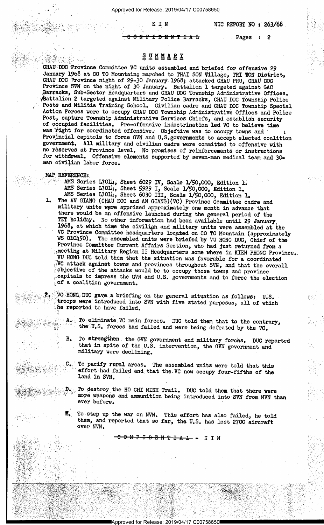Approved for Release: 2019/04/17 C00758650

NIC REPORT NO :  $263/68$ - ' ' '

<del>I D E N T</del>

<sup>4</sup>, K.I N

Pages : 2

## $\mathcal{L} \circ \mathcal{L} \circ \mathcal{L} \circ \mathcal{L} \circ \mathcal{L} \circ \mathcal{L} \circ \mathcal{L} \circ \mathcal{L} \circ \mathcal{L} \circ \mathcal{L} \circ \mathcal{L} \circ \mathcal{L} \circ \mathcal{L} \circ \mathcal{L} \circ \mathcal{L} \circ \mathcal{L} \circ \mathcal{L} \circ \mathcal{L} \circ \mathcal{L} \circ \mathcal{L} \circ \mathcal{L} \circ \mathcal{L} \circ \mathcal{L} \circ \mathcal{L} \circ \mathcal{L} \circ \mathcal{L} \circ \mathcal{L} \circ \mathcal{$

, and the second control of the second control of the second control of the second control of the second control of

...CHAU DOC Province Committee VC units assembled and briefed for offensive 29 January 1968 at CO TO Mountain; marched to THAI SON Village, TRI TON District,<br>CHAU DOC Province night of 29-30 January 1968; attacked CHAU PHU, CHAU DOC<br>Province SVN on the night of 30 January. Battalion 1 targeted agains Battalion 2 targeted against Military Police Barracks, CHAU DOC Township Police<br>Posts and Militia Training School. Civilian cadre and CHAU DOC Township Special Action Forces were to occupy CHAU DOC Township Administrative Offices and Police<br>Post, capture Township Administrative Services Chiefs, and establish security of occupied facilities. Pre-offensive indoctrination led VC to believe time was right for coordinated offensive. Objective was to occupy towns and Provincial capitols to force GVN and U.S. governments to accept elected coalition government. All military and civilian cadre were committed to offensive with no reserves at Province level. No promises of reinforcements or instructions for withdrwal. Offensive elements supported by seven-man medical tea

 $\sim$  with

.§

'3=-','»'¥5o'"l'~¥'5~" "<.'i'I 3 ' ' '

YEAR AND IN THE SALE OF THE TWO

.-.1'. 3:1' -' 4 "..~§".S>- .' " ' "" '.~-.,l' .»...'.\_.\_\_'\_\_, .1-Ii." --..~' ~.-»-..'a-..'.-',-\_\- ~»e----\_--~-»-<.'=',~»-~- '-

 $\mathcal{P}_{\mathcal{P}_{\mathcal{P}_{\mathcal{P}_{\mathcal{P}_{\mathcal{P}_{\mathcal{P}}}}}}$ 

~emMm;' . =';\*7;,\_Z;1'-I11 P. - '

 $f \propto f^2$ 

 $\mathcal{L}(\mathcal{G})$ i g ;\_;r 1  $\sim$  references to the set of the set of the set of the set of the set of the set of the set of the set of the set of the set of the set of the set of the set of the set of the set of the set of the set of the set of the e.

<sup>&</sup>gt; <sup>I</sup>,,,,» ?f.~{\_,, ,\_ t .. , . :-',.~.,;-"5-" .-".. \* ". .a 41952 : 120 - 1945 : 101 - 101

 $k$  .  $k$  and  $\alpha$  are the set of  $\alpha$  and  $\alpha$  are the set of  $\alpha$  . The set of  $\alpha$ 

' -.112 ..,;,:: <sup>4</sup>

'W

,. "..'.- X

,&.. , /.4 .

a kiliyo ng

»

. . . , MAP, REFERENCE:<br>2. AMS Series L70lh, Sheet 6029 IV, Scale 1/50,000, Edition 1.<br>AMS Series L70lh, Sheet 5929 I, Scale 1/50,000, Edition 1. . AMS Series L7014, Sheet 6030 III, Scale  $1/50,000$ , Edition 1.

1. The AN GIANG (CHAU DOC and AN GIANG) (VC) Province Committee cadre and military units were apprised approximately one month in advance that there would be an offensive launched during the general period of the TET holid VC Province Committee headquarters located on CO TO Mountain (approximately WS OlO450). The assembled units were briefed by VU HONG DUC, Chief of the Province Committee Current Affairs Section, who had just returned from a We attack against towns and provinces throughout SVN, and that the overall pobjective of the attacks would be to occupy those towns and province capitals to impress the GVN and U.S. governments and to force the election o

WO HONG DUC gave a briefing on the general situation as follows: U.S. troops were introduced into SVN with five stated purposes, all of which .he reported to have failed.

A. To eliminate VC main forces. DUC told them that to the contrary, the U.S. forces had failed and were being defeated by the VC.

B. To strengthen the GVN government and military forchs. DUC reported that in spite of the U.S. intervention, the GVN government and military were declining.

To pacify rural areas. The assembled units were told that this  $\mathbb{R}^2$  is  $\mathbb{R}^2$  effort had failed and that the.VC now occupy four-fifths of the leads land in SVN.

To destroy the HO CHI MINH Trail. DUC told them that there were more weapons and ammunition being introduced into SVN from NVN than ever before.

To step up the war on NVN. This effort has also failed, he told them, and reported that so far, the U.S. has lost 2700 aircraft over NVN.

" '

a vy vysky vzdynie o przez przyklanie przez przykladnie wydanie za przez przyklanie za przez przez przez przez

\_ . »

 $\epsilon$  -1.1.1.

' '

' 5"-'1'I '

'

<del>ONF ID ENT IA L</del> - K I N

>

" ,\=-:'»'s-eés.-1:->"¢: 5'\_;',".g\_'\_.'-.""~.-{,4gr'f-11{"',';;:'\_\§f-1.};;j~'.\_-'.'¢~'1.1\*~¢f-' .; .- \_-=~>\_;{;¢.::;- n " .--T ~»- -- -- 1.3',-1-\_a\_ »:~o,.17=~=».-'\_%.I7='.=,-.~: \_- .-';:('~.\_' -:3"---1-'Z. ->."~'.'~.-1",' -3.'~Z'-'13 .=~"<-H V-:',Z~:~'.,"~."='; "'?'~ .-.\_,;. '-.= ~:3'~';~.'. " <sup>x</sup>'-\  $1.3$  Y .  $1.6$  Y .  $1.7$  (ii)  $1.6$  Y .  $1.7$  ,  $1.7$  ,  $1.7$  ,  $1.7$  ,  $1.7$  ,  $1.7$  ,  $1.7$  ,  $1.7$  ,  $1.7$  ,  $1.7$   $1.7$   $1.7$   $1.7$   $1.7$   $1.7$   $1.7$   $1.7$   $1.7$   $1.7$   $1.7$   $1.7$   $1.7$   $1.7$   $1.7$   $1.7$   $1.7$   $1.7$ 

**경제상, 10, 2008, 10, 2008, 10, 2008, 10, 2008, 10, 2008, 10, 2008, 10, 2008, 10, 2008, 10, 2008, 10, 2008, 10, 2008, 10, 2008, 10, 2008, 10, 2008, 10, 2008, 10, 2008, 10, 2008, 10, 2008,** 

**1) 동차 사고는 사용하고 있는 사람들은 이 시간이 있어서 있었다. 이 사람들은 사람들의 사람들의 사람들이 있었다.** 그는 사람들이 사람들이 아주 있다.

,\_ \_\_\. \_.\_. .,.',l;, v. ;; \_,Ȣ\_5 ,.~\ », .1§".- " 2'-"'"-'=7' " - -~ ' <sup>~</sup>" -" r ~ " :»'.-:..-=--.-2~;'-; {L-.\£'\-'5-\'\'.: -. .--.r.'.'". \_ »- ,1-»~2=a.~; ~'-'..n'\_»r - '-1»'='.~ 1?.»-1:. ~.w-.-- '

<sup>J</sup>, -,= .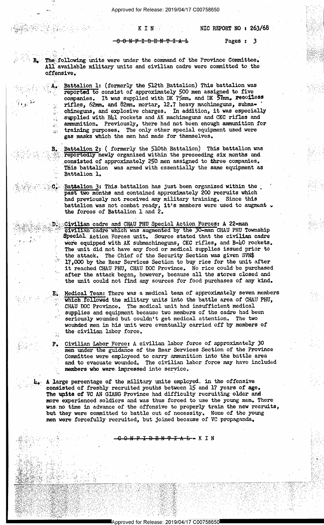NIC REPORT NO : 263/68

N F I D E N T I

KIN

Pages: 3

The following units were under the command of the Province Committee. All available military units and civilian cadre were committed to the offensive.

 $B -$ 

 $\mathcal{C}^{(1)}$ 

 $\alpha$ 

В.

 ${\bf E}$ :

Battalion 1: (formerly the 512th Battalion) This battalion was reported to consist of approximately 500 men assigned to five<br>companies. It was supplied with DK 75mm. and DK 57mm. xecoiless<br>rifles, 62mm. and 82mm. mortar, 12.7 heavy machineguns, submachineguns, and explosive charges. In addition, it was especially supplied with Bhl rockets and AK machineguns and CKC rifles and ammunition. Previously, there had not been enough ammunition for training purposes. The only other special equipment used were gas masks which the men had made for themselves.

Battalion 2; (formerly the 510th Battalion) This battalion was reportedly newly organized within the preceeding six months and consisted of approximately 250 men assigned to three companies. This battalion was armed with essentially the same equipment as Battalion 1.

Battalion 3: This battalion has just been organized within the past two months and contained approximately 200 recruits which had previously not received any military training. Since this battalion was not combat ready, it's members were used to augment . the forces of Battalion 1 and 2.

Civilian cadre and CHAU PHU Special Action Forces: A 22-man civilian cadre which was augmented by the 30-man CHAU PHU Township Special Action Forces unit. Source stated that the civilian cadre were equipped with AK submachineguns, CKC rifles, and B-40 rockets. The unit did not have any food or medical supplies issued prior to the attack. The Chief of the Security Section was given SVN\$ 17,000 by the Rear Services Section to buy rice for the unit after it reached CHAU PHU, CHAU DOC Province. No rice could be purchased after the attack began, however, because all the stores closed and the unit could not find any sources for food purchases of any kind.

Medical Team: There was a medical team of approximately seven members which followed the military units into the battle area of CHAU PHU, CHAU DOC Province. The medical unit had insufficient medical supplies and equipment because two members of the cadre had been seriously wounded but couldn't get medical attention. The two wounded men in his unit were eventually carried off by members of the civilian labor force.

Civilian Labor Force: A civilian labor force of approximately 30 F. men under the guidance of the Rear Services Section of the Province Committee were employeed to carry ammunition into the battle area and to evacuate wounded. The civilian labor force may have included members who were impressed into service.

A large percentage of the military units employed. in the offensive consisted of freshly recruited youths between 15 and 17 years of age. The units of VC AN GIANG Province had difficulty recruiting older and more experienced soldiers and was thus forced to use the young men. There was no time in advance of the offensive to properly train the new recruits, but they were committed to battle out of necessity. None of the young men were forcefully recruited, but joined because of VC propaganda.

<del>I D E N T I A L -</del> K I N

Approved for Release: 2019/04/17 C00758650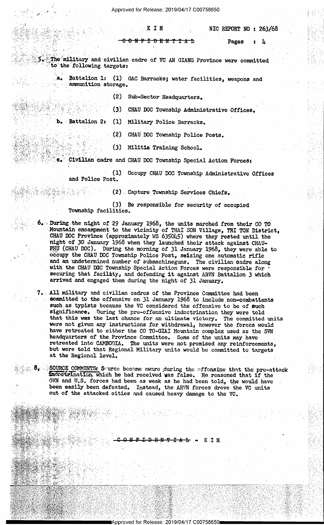Approved for Release: 2019/04/17 C00758650

NIC REPORT NO : 263/68

<del>I D E N</del> ╇ <del>᠊ᠮ᠆</del>ᠰ᠆ᡏ

Pages  $\mathbf{r}$   $\mathbf{r}$ 

The military and civilian cadre of VC AN GIANG Province were committed to the following targets:

KIN

a. Battalion 1: (1) GAC Barracks; water facilities, weapons and ammunition storage.

(2) Sub-Sector Headquarters.

(3) CHAU DOC Township Administrative Offices.

b. Battalion 2: (1) Military Police Barracks.

> $(2)$ CHAU DOC Township Police Posts.

(3) Militia Training School.

Civilian cadre and CHAU DOC Township Special Action Forces:

(1) Occupy CHAU DOC Township Administrative Offices and Police Post.

(2) Capture Township Services Chiefs.

(3) Be responsible for security of occupied Township facilities.

6. During the night of 29 January 1968, the units marched from their CO TO Mountain encampment to the vicinity of THAI SON Village, TRI TON District, CHAU DOC Province (approximately WS 635045) where they rested until the night of 30 January 1968 when they launched their attack against CHAU-PHU (CHAU DOC). During the morning of 31 January 1968, they were able to occupy the CHAU DOC Township Police Post, seizing one automatic rifle and an undetermined number of submachineguns. The civilian cadre along with the CHAU DOC Township Special Action Forces were responsible for securing that facility, and defending it against ARVN Battalion 3 which arrived and engaged them during the night of 31 January.

7. All military and civilian cadres of the Province Committee had been committed to the offensive on 31 January 1968 to include non-combattants such as typists because the VC considered the offensive to be of such significance. During the pre-offensive indoctrination they were told that this was the last chance for an ultimate victory. The committed units were not given any instructions for withdrawal, however the forces would have retreated to either the CO TO-GIAI Mountain complex used as the SVN headquarters of the Province Committee. Some of the units may have retreated into CAMBODIA. The units were not promised any reinforcements, but were told that Regional Military units would be committed to targets at the Regional level.

8. SOURCE COMMENTS: Source become aware during the offonsine that the pre-attack indoctrination. which he had received was false. He reasoned that if the GVN and U.S. forces had been as weak as he had been told, the would have been easily been defeated. Instead, the ARVN forces drove the VC units out of the attacked cities and caused heavy damage to the VC.

> KIN ₽ ±₩